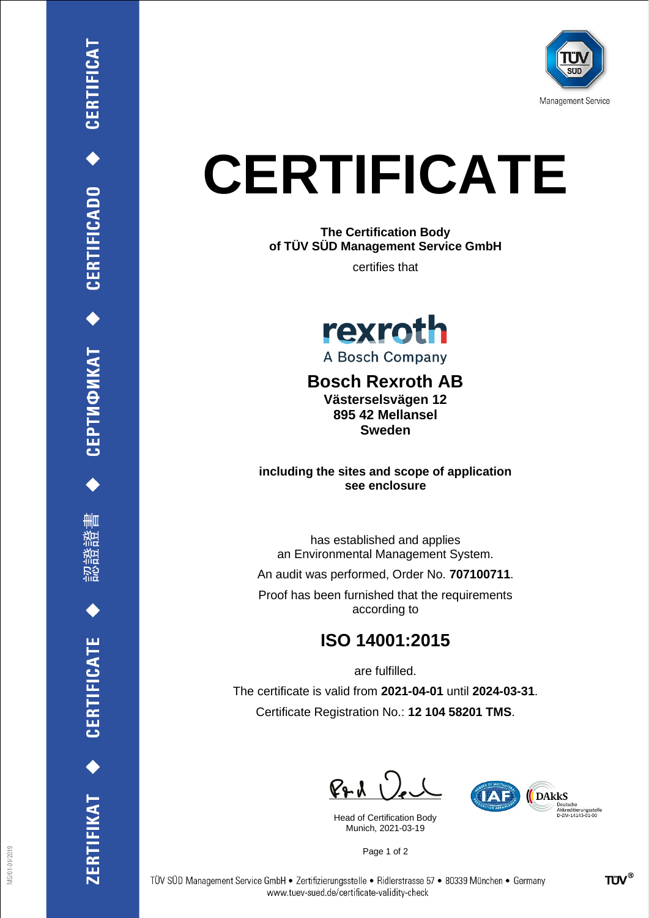

## **CERTIFICATE**

**The Certification Body of TÜV SÜD Management Service GmbH**

certifies that



## **Bosch Rexroth AB Västerselsvägen 12**

**895 42 Mellansel Sweden**

**including the sites and scope of application see enclosure**

has established and applies an Environmental Management System.

An audit was performed, Order No. **707100711**.

Proof has been furnished that the requirements according to

## **ISO 14001:2015**

are fulfilled.

The certificate is valid from **2021-04-01** until **2024-03-31**. Certificate Registration No.: **12 104 58201 TMS**.

 $P + U$ 

Head of Certification Body Munich, 2021-03-19



Page 1 of 2

CEPTMФИКАТ ◆ CERTIFICADO ◆ CERTIFICAT

删

ZERTIFIKAT ◆ CERTIFICATE